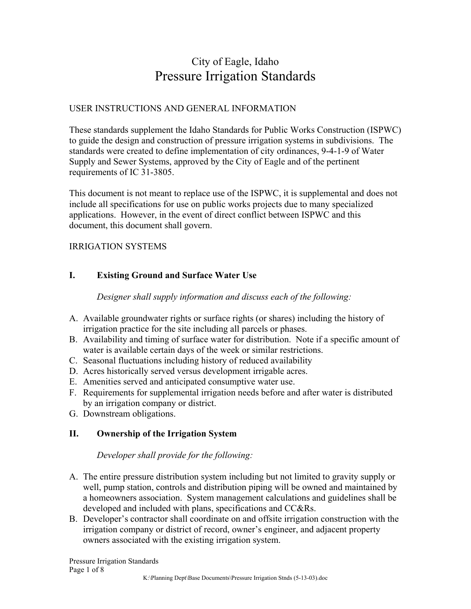# City of Eagle, Idaho Pressure Irrigation Standards

# USER INSTRUCTIONS AND GENERAL INFORMATION

These standards supplement the Idaho Standards for Public Works Construction (ISPWC) to guide the design and construction of pressure irrigation systems in subdivisions. The standards were created to define implementation of city ordinances, 9-4-1-9 of Water Supply and Sewer Systems, approved by the City of Eagle and of the pertinent requirements of IC 31-3805.

This document is not meant to replace use of the ISPWC, it is supplemental and does not include all specifications for use on public works projects due to many specialized applications. However, in the event of direct conflict between ISPWC and this document, this document shall govern.

#### IRRIGATION SYSTEMS

# **I. Existing Ground and Surface Water Use**

*Designer shall supply information and discuss each of the following:* 

- A. Available groundwater rights or surface rights (or shares) including the history of irrigation practice for the site including all parcels or phases.
- B. Availability and timing of surface water for distribution. Note if a specific amount of water is available certain days of the week or similar restrictions.
- C. Seasonal fluctuations including history of reduced availability
- D. Acres historically served versus development irrigable acres.
- E. Amenities served and anticipated consumptive water use.
- F. Requirements for supplemental irrigation needs before and after water is distributed by an irrigation company or district.
- G. Downstream obligations.

#### **II. Ownership of the Irrigation System**

#### *Developer shall provide for the following:*

- A. The entire pressure distribution system including but not limited to gravity supply or well, pump station, controls and distribution piping will be owned and maintained by a homeowners association. System management calculations and guidelines shall be developed and included with plans, specifications and CC&Rs.
- B. Developer's contractor shall coordinate on and offsite irrigation construction with the irrigation company or district of record, owner's engineer, and adjacent property owners associated with the existing irrigation system.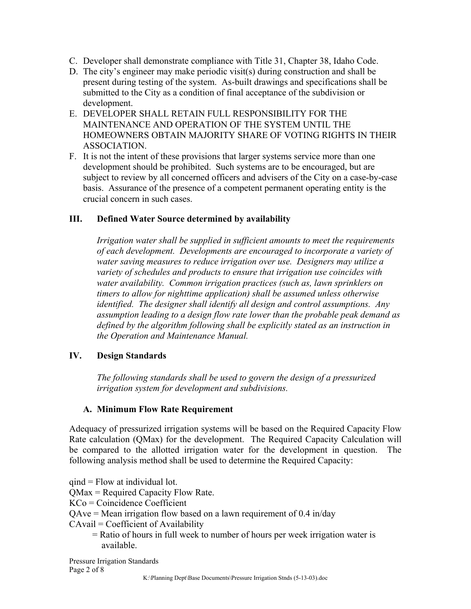- C. Developer shall demonstrate compliance with Title 31, Chapter 38, Idaho Code.
- D. The city's engineer may make periodic visit(s) during construction and shall be present during testing of the system. As-built drawings and specifications shall be submitted to the City as a condition of final acceptance of the subdivision or development.
- E. DEVELOPER SHALL RETAIN FULL RESPONSIBILITY FOR THE MAINTENANCE AND OPERATION OF THE SYSTEM UNTIL THE HOMEOWNERS OBTAIN MAJORITY SHARE OF VOTING RIGHTS IN THEIR ASSOCIATION.
- F. It is not the intent of these provisions that larger systems service more than one development should be prohibited. Such systems are to be encouraged, but are subject to review by all concerned officers and advisers of the City on a case-by-case basis. Assurance of the presence of a competent permanent operating entity is the crucial concern in such cases.

#### **III. Defined Water Source determined by availability**

*Irrigation water shall be supplied in sufficient amounts to meet the requirements of each development. Developments are encouraged to incorporate a variety of water saving measures to reduce irrigation over use. Designers may utilize a variety of schedules and products to ensure that irrigation use coincides with water availability. Common irrigation practices (such as, lawn sprinklers on timers to allow for nighttime application) shall be assumed unless otherwise identified. The designer shall identify all design and control assumptions. Any assumption leading to a design flow rate lower than the probable peak demand as*  defined by the algorithm following shall be explicitly stated as an instruction in *the Operation and Maintenance Manual.* 

#### **IV. Design Standards**

*The following standards shall be used to govern the design of a pressurized irrigation system for development and subdivisions.*

#### **A. Minimum Flow Rate Requirement**

Adequacy of pressurized irrigation systems will be based on the Required Capacity Flow Rate calculation (QMax) for the development. The Required Capacity Calculation will be compared to the allotted irrigation water for the development in question. The following analysis method shall be used to determine the Required Capacity:

qind = Flow at individual lot. QMax = Required Capacity Flow Rate.

KCo = Coincidence Coefficient

QAve = Mean irrigation flow based on a lawn requirement of 0.4 in/day

CAvail = Coefficient of Availability

 = Ratio of hours in full week to number of hours per week irrigation water is available.

Pressure Irrigation Standards Page 2 of 8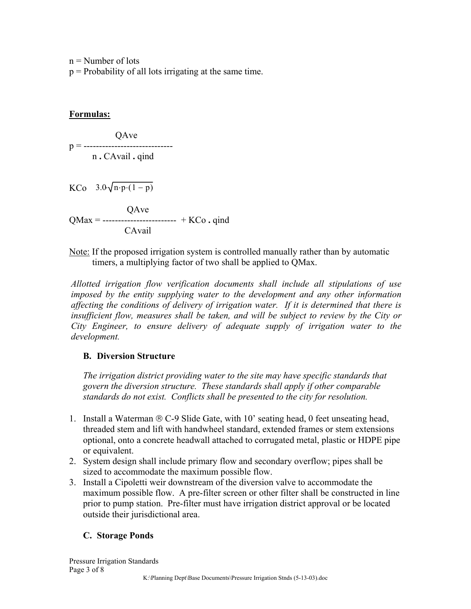$n =$  Number of lots

p = Probability of all lots irrigating at the same time.

#### **Formulas:**

 QAve p = ----------------------------- n **.** CAvail **.** qind KCo  $3.0\sqrt{n \cdot p \cdot (1-p)}$  QAve QMax = ------------------------ + KCo **.** qind CAvail

Note: If the proposed irrigation system is controlled manually rather than by automatic timers, a multiplying factor of two shall be applied to QMax.

*Allotted irrigation flow verification documents shall include all stipulations of use imposed by the entity supplying water to the development and any other information affecting the conditions of delivery of irrigation water. If it is determined that there is insufficient flow, measures shall be taken, and will be subject to review by the City or City Engineer, to ensure delivery of adequate supply of irrigation water to the development.* 

#### **B. Diversion Structure**

*The irrigation district providing water to the site may have specific standards that govern the diversion structure. These standards shall apply if other comparable standards do not exist. Conflicts shall be presented to the city for resolution.* 

- 1. Install a Waterman  $\circledR$  C-9 Slide Gate, with 10' seating head, 0 feet unseating head, threaded stem and lift with handwheel standard, extended frames or stem extensions optional, onto a concrete headwall attached to corrugated metal, plastic or HDPE pipe or equivalent.
- 2. System design shall include primary flow and secondary overflow; pipes shall be sized to accommodate the maximum possible flow.
- 3. Install a Cipoletti weir downstream of the diversion valve to accommodate the maximum possible flow. A pre-filter screen or other filter shall be constructed in line prior to pump station. Pre-filter must have irrigation district approval or be located outside their jurisdictional area.

# **C. Storage Ponds**

Pressure Irrigation Standards Page 3 of 8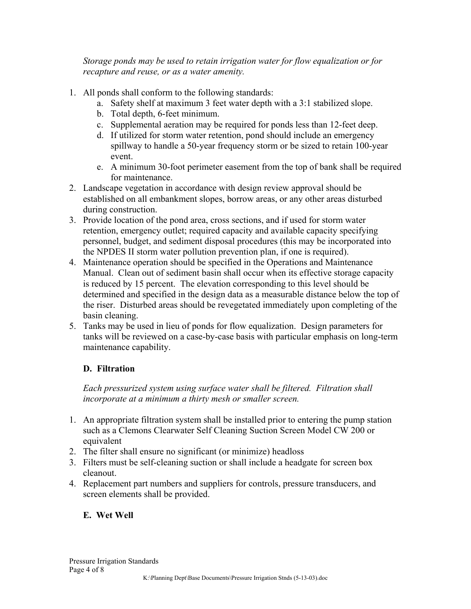*Storage ponds may be used to retain irrigation water for flow equalization or for recapture and reuse, or as a water amenity.* 

- 1. All ponds shall conform to the following standards:
	- a. Safety shelf at maximum 3 feet water depth with a 3:1 stabilized slope.
	- b. Total depth, 6-feet minimum.
	- c. Supplemental aeration may be required for ponds less than 12-feet deep.
	- d. If utilized for storm water retention, pond should include an emergency spillway to handle a 50-year frequency storm or be sized to retain 100-year event.
	- e. A minimum 30-foot perimeter easement from the top of bank shall be required for maintenance.
- 2. Landscape vegetation in accordance with design review approval should be established on all embankment slopes, borrow areas, or any other areas disturbed during construction.
- 3. Provide location of the pond area, cross sections, and if used for storm water retention, emergency outlet; required capacity and available capacity specifying personnel, budget, and sediment disposal procedures (this may be incorporated into the NPDES II storm water pollution prevention plan, if one is required).
- 4. Maintenance operation should be specified in the Operations and Maintenance Manual. Clean out of sediment basin shall occur when its effective storage capacity is reduced by 15 percent. The elevation corresponding to this level should be determined and specified in the design data as a measurable distance below the top of the riser. Disturbed areas should be revegetated immediately upon completing of the basin cleaning.
- 5. Tanks may be used in lieu of ponds for flow equalization. Design parameters for tanks will be reviewed on a case-by-case basis with particular emphasis on long-term maintenance capability.

# **D. Filtration**

*Each pressurized system using surface water shall be filtered. Filtration shall incorporate at a minimum a thirty mesh or smaller screen.* 

- 1. An appropriate filtration system shall be installed prior to entering the pump station such as a Clemons Clearwater Self Cleaning Suction Screen Model CW 200 or equivalent
- 2. The filter shall ensure no significant (or minimize) headloss
- 3. Filters must be self-cleaning suction or shall include a headgate for screen box cleanout.
- 4. Replacement part numbers and suppliers for controls, pressure transducers, and screen elements shall be provided.

# **E. Wet Well**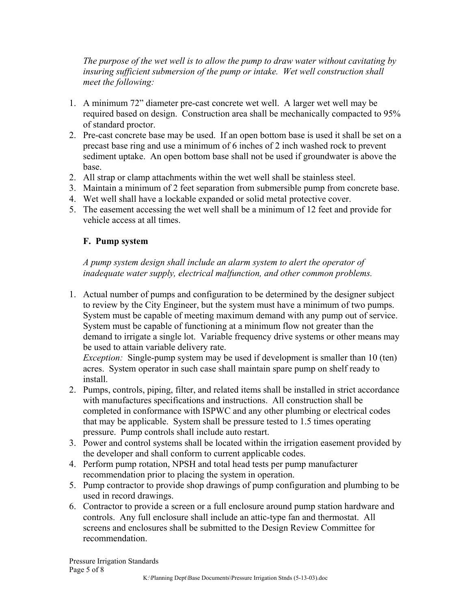*The purpose of the wet well is to allow the pump to draw water without cavitating by insuring sufficient submersion of the pump or intake. Wet well construction shall meet the following:* 

- 1. A minimum 72" diameter pre-cast concrete wet well. A larger wet well may be required based on design. Construction area shall be mechanically compacted to 95% of standard proctor.
- 2. Pre-cast concrete base may be used. If an open bottom base is used it shall be set on a precast base ring and use a minimum of 6 inches of 2 inch washed rock to prevent sediment uptake. An open bottom base shall not be used if groundwater is above the base.
- 2. All strap or clamp attachments within the wet well shall be stainless steel.
- 3. Maintain a minimum of 2 feet separation from submersible pump from concrete base.
- 4. Wet well shall have a lockable expanded or solid metal protective cover.
- 5. The easement accessing the wet well shall be a minimum of 12 feet and provide for vehicle access at all times.

### **F. Pump system**

*A pump system design shall include an alarm system to alert the operator of inadequate water supply, electrical malfunction, and other common problems.* 

1. Actual number of pumps and configuration to be determined by the designer subject to review by the City Engineer, but the system must have a minimum of two pumps. System must be capable of meeting maximum demand with any pump out of service. System must be capable of functioning at a minimum flow not greater than the demand to irrigate a single lot. Variable frequency drive systems or other means may be used to attain variable delivery rate.

*Exception:* Single-pump system may be used if development is smaller than 10 (ten) acres. System operator in such case shall maintain spare pump on shelf ready to install.

- 2. Pumps, controls, piping, filter, and related items shall be installed in strict accordance with manufactures specifications and instructions. All construction shall be completed in conformance with ISPWC and any other plumbing or electrical codes that may be applicable. System shall be pressure tested to 1.5 times operating pressure. Pump controls shall include auto restart.
- 3. Power and control systems shall be located within the irrigation easement provided by the developer and shall conform to current applicable codes.
- 4. Perform pump rotation, NPSH and total head tests per pump manufacturer recommendation prior to placing the system in operation.
- 5. Pump contractor to provide shop drawings of pump configuration and plumbing to be used in record drawings.
- 6. Contractor to provide a screen or a full enclosure around pump station hardware and controls. Any full enclosure shall include an attic-type fan and thermostat. All screens and enclosures shall be submitted to the Design Review Committee for recommendation.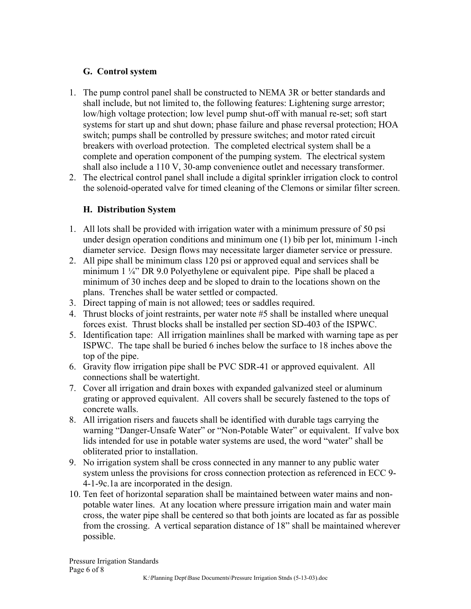### **G. Control system**

- 1. The pump control panel shall be constructed to NEMA 3R or better standards and shall include, but not limited to, the following features: Lightening surge arrestor; low/high voltage protection; low level pump shut-off with manual re-set; soft start systems for start up and shut down; phase failure and phase reversal protection; HOA switch; pumps shall be controlled by pressure switches; and motor rated circuit breakers with overload protection. The completed electrical system shall be a complete and operation component of the pumping system. The electrical system shall also include a 110 V, 30-amp convenience outlet and necessary transformer.
- 2. The electrical control panel shall include a digital sprinkler irrigation clock to control the solenoid-operated valve for timed cleaning of the Clemons or similar filter screen.

# **H. Distribution System**

- 1. All lots shall be provided with irrigation water with a minimum pressure of 50 psi under design operation conditions and minimum one (1) bib per lot, minimum 1-inch diameter service. Design flows may necessitate larger diameter service or pressure.
- 2. All pipe shall be minimum class 120 psi or approved equal and services shall be minimum  $1 \frac{1}{4}$ " DR 9.0 Polyethylene or equivalent pipe. Pipe shall be placed a minimum of 30 inches deep and be sloped to drain to the locations shown on the plans. Trenches shall be water settled or compacted.
- 3. Direct tapping of main is not allowed; tees or saddles required.
- 4. Thrust blocks of joint restraints, per water note #5 shall be installed where unequal forces exist. Thrust blocks shall be installed per section SD-403 of the ISPWC.
- 5. Identification tape: All irrigation mainlines shall be marked with warning tape as per ISPWC. The tape shall be buried 6 inches below the surface to 18 inches above the top of the pipe.
- 6. Gravity flow irrigation pipe shall be PVC SDR-41 or approved equivalent. All connections shall be watertight.
- 7. Cover all irrigation and drain boxes with expanded galvanized steel or aluminum grating or approved equivalent. All covers shall be securely fastened to the tops of concrete walls.
- 8. All irrigation risers and faucets shall be identified with durable tags carrying the warning "Danger-Unsafe Water" or "Non-Potable Water" or equivalent. If valve box lids intended for use in potable water systems are used, the word "water" shall be obliterated prior to installation.
- 9. No irrigation system shall be cross connected in any manner to any public water system unless the provisions for cross connection protection as referenced in ECC 9- 4-1-9c.1a are incorporated in the design.
- 10. Ten feet of horizontal separation shall be maintained between water mains and nonpotable water lines. At any location where pressure irrigation main and water main cross, the water pipe shall be centered so that both joints are located as far as possible from the crossing. A vertical separation distance of 18" shall be maintained wherever possible.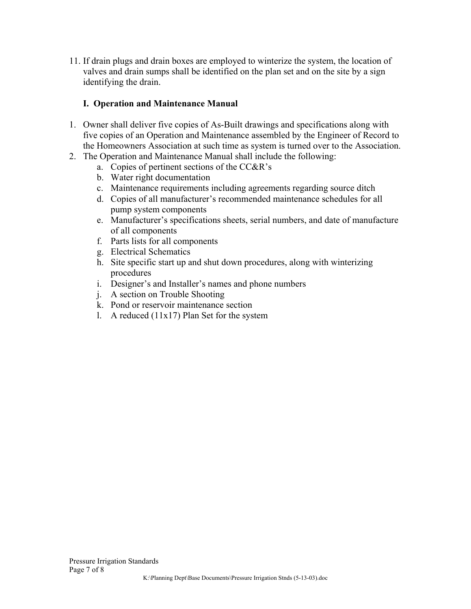11. If drain plugs and drain boxes are employed to winterize the system, the location of valves and drain sumps shall be identified on the plan set and on the site by a sign identifying the drain.

## **I. Operation and Maintenance Manual**

- 1. Owner shall deliver five copies of As-Built drawings and specifications along with five copies of an Operation and Maintenance assembled by the Engineer of Record to the Homeowners Association at such time as system is turned over to the Association.
- 2. The Operation and Maintenance Manual shall include the following:
	- a. Copies of pertinent sections of the CC&R's
	- b. Water right documentation
	- c. Maintenance requirements including agreements regarding source ditch
	- d. Copies of all manufacturer's recommended maintenance schedules for all pump system components
	- e. Manufacturer's specifications sheets, serial numbers, and date of manufacture of all components
	- f. Parts lists for all components
	- g. Electrical Schematics
	- h. Site specific start up and shut down procedures, along with winterizing procedures
	- i. Designer's and Installer's names and phone numbers
	- j. A section on Trouble Shooting
	- k. Pond or reservoir maintenance section
	- 1. A reduced  $(11x17)$  Plan Set for the system